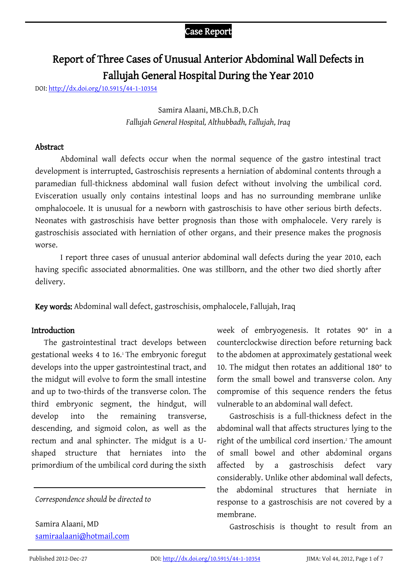# Report of Three Cases of Unusual Anterior Abdominal Wall Defects in Fallujah General Hospital During the Year 2010

DOI[: http://dx.doi.org/10.5915/44-1-10354](http://dx.doi.org/10.5915/44-1-10354)

# Samira Alaani, MB.Ch.B, D.Ch *Fallujah General Hospital, Althubbadh, Fallujah, Iraq*

## Abstract

Abdominal wall defects occur when the normal sequence of the gastro intestinal tract development is interrupted. Gastroschisis represents a herniation of abdominal contents through a paramedian full-thickness abdominal wall fusion defect without involving the umbilical cord. Evisceration usually only contains intestinal loops and has no surrounding membrane unlike omphalocoele. It is unusual for a newborn with gastroschisis to have other serious birth defects. Neonates with gastroschisis have better prognosis than those with omphalocele. Very rarely is gastroschisis associated with herniation of other organs, and their presence makes the prognosis worse.

I report three cases of unusual anterior abdominal wall defects during the year 2010, each having specific associated abnormalities. One was stillborn, and the other two died shortly after delivery.

Key words: Abdominal wall defect, gastroschisis, omphalocele, Fallujah, Iraq

# **Introduction**

The gastrointestinal tract develops between gestational weeks 4 to 16.<sup>1</sup> The embryonic foregut develops into the upper gastrointestinal tract, and the midgut will evolve to form the small intestine and up to two-thirds of the transverse colon. The third embryonic segment, the hindgut, will develop into the remaining transverse, descending, and sigmoid colon, as well as the rectum and anal sphincter. The midgut is a Ushaped structure that herniates into the primordium of the umbilical cord during the sixth

*Correspondence should be directed to*

Samira Alaani, MD [samiraalaani@hotmail.com](http://www.google.com/recaptcha/mailhide/d?k=01FSxXd2A1HZjJvjaKecV2Rw==&c=ayNBtqeMFwlQrvcuJqZJeF4FYdaZi0d25jG884Cyoek=)

 week of embryogenesis. It rotates 90° in a counterclockwise direction before returning back to the abdomen at approximately gestational week 10. The midgut then rotates an additional 180° to form the small bowel and transverse colon. Any compromise of this sequence renders the fetus vulnerable to an abdominal wall defect.

Gastroschisis is a full-thickness defect in the abdominal wall that affects structures lying to the right of the umbilical cord insertion.<sup>2</sup> The amount of small bowel and other abdominal organs affected by a gastroschisis defect vary considerably. Unlike other abdominal wall defects, the abdominal structures that herniate in response to a gastroschisis are not covered by a membrane.

Gastroschisis is thought to result from an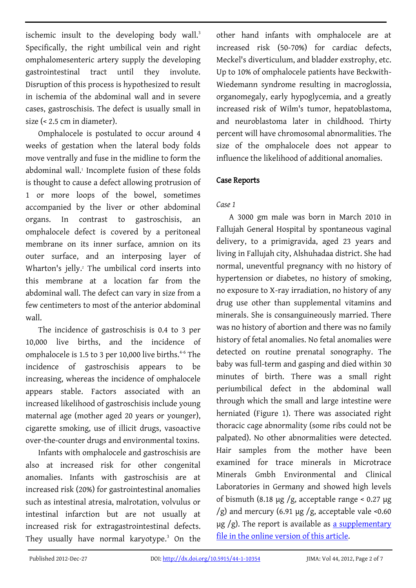ischemic insult to the developing body wall.<sup>3</sup> Specifically, the right umbilical vein and right omphalomesenteric artery supply the developing gastrointestinal tract until they involute. Disruption of this process is hypothesized to result in ischemia of the abdominal wall and in severe cases, gastroschisis. The defect is usually small in size (< 2.5 cm in diameter).

Omphalocele is postulated to occur around 4 weeks of gestation when the lateral body folds move ventrally and fuse in the midline to form the abdominal wall.<sup>1</sup> Incomplete fusion of these folds is thought to cause a defect allowing protrusion of 1 or more loops of the bowel, sometimes accompanied by the liver or other abdominal organs. In contrast to gastroschisis, an omphalocele defect is covered by a peritoneal membrane on its inner surface, amnion on its outer surface, and an interposing layer of Wharton's jelly.<sup>2</sup> The umbilical cord inserts into this membrane at a location far from the abdominal wall. The defect can vary in size from a few centimeters to most of the anterior abdominal wall.

The incidence of gastroschisis is 0.4 to 3 per 10,000 live births, and the incidence of omphalocele is 1.5 to 3 per 10,000 live births.<sup>4-6</sup> The incidence of gastroschisis appears to be increasing, whereas the incidence of omphalocele appears stable. Factors associated with an increased likelihood of gastroschisis include young maternal age (mother aged 20 years or younger), cigarette smoking, use of illicit drugs, vasoactive over-the-counter drugs and environmental toxins.

Infants with omphalocele and gastroschisis are also at increased risk for other congenital anomalies. Infants with gastroschisis are at increased risk (20%) for gastrointestinal anomalies such as intestinal atresia, malrotation, volvulus or intestinal infarction but are not usually at increased risk for extragastrointestinal defects. They usually have normal karyotype.<sup>3</sup> On the

other hand infants with omphalocele are at increased risk (50-70%) for cardiac defects, Meckel's diverticulum, and bladder exstrophy, etc. Up to 10% of omphalocele patients have Beckwith-Wiedemann syndrome resulting in macroglossia, organomegaly, early hypoglycemia, and a greatly increased risk of Wilm's tumor, hepatoblastoma, and neuroblastoma later in childhood. Thirty percent will have chromosomal abnormalities. The size of the omphalocele does not appear to influence the likelihood of additional anomalies.

# Case Reports

# *Case 1*

A 3000 gm male was born in March 2010 in Fallujah General Hospital by spontaneous vaginal delivery, to a primigravida, aged 23 years and living in Fallujah city, Alshuhadaa district. She had normal, uneventful pregnancy with no history of hypertension or diabetes, no history of smoking, no exposure to X-ray irradiation, no history of any drug use other than supplemental vitamins and minerals. She is consanguineously married. There was no history of abortion and there was no family history of fetal anomalies. No fetal anomalies were detected on routine prenatal sonography. The baby was full-term and gasping and died within 30 minutes of birth. There was a small right periumbilical defect in the abdominal wall through which the small and large intestine were herniated (Figure 1). There was associated right thoracic cage abnormality (some ribs could not be palpated). No other abnormalities were detected. Hair samples from the mother have been examined for trace minerals in Microtrace Minerals Gmbh Environmental and Clinical Laboratories in Germany and showed high levels of bismuth (8.18  $\mu$ g /g, acceptable range < 0.27  $\mu$ g  $/g$ ) and mercury (6.91 µg /g, acceptable vale <0.60  $\mu$ g /g). The report is available as a supplementary [file in the online version of this article.](http://jima.imana.org/article/downloadSuppFile/10354/44-1-10354-s1)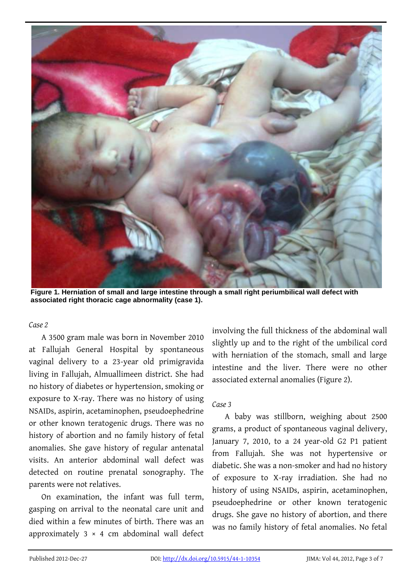

**Figure 1. Herniation of small and large intestine through a small right periumbilical wall defect with associated right thoracic cage abnormality (case 1).**

#### *Case 2*

A 3500 gram male was born in November 2010 at Fallujah General Hospital by spontaneous vaginal delivery to a 23-year old primigravida living in Fallujah, Almuallimeen district. She had no history of diabetes or hypertension, smoking or exposure to X-ray. There was no history of using NSAIDs, aspirin, acetaminophen, pseudoephedrine or other known teratogenic drugs. There was no history of abortion and no family history of fetal anomalies. She gave history of regular antenatal visits. An anterior abdominal wall defect was detected on routine prenatal sonography. The parents were not relatives.

On examination, the infant was full term, gasping on arrival to the neonatal care unit and died within a few minutes of birth. There was an approximately  $3 \times 4$  cm abdominal wall defect involving the full thickness of the abdominal wall slightly up and to the right of the umbilical cord with herniation of the stomach, small and large intestine and the liver*.* There were no other associated external anomalies (Figure 2).

# *Case 3*

A baby was stillborn, weighing about 2500 grams, a product of spontaneous vaginal delivery, January 7, 2010, to a 24 year-old G2 P1 patient from Fallujah. She was not hypertensive or diabetic. She was a non-smoker and had no history of exposure to X-ray irradiation. She had no history of using NSAIDs, aspirin, acetaminophen, pseudoephedrine or other known teratogenic drugs. She gave no history of abortion, and there was no family history of fetal anomalies. No fetal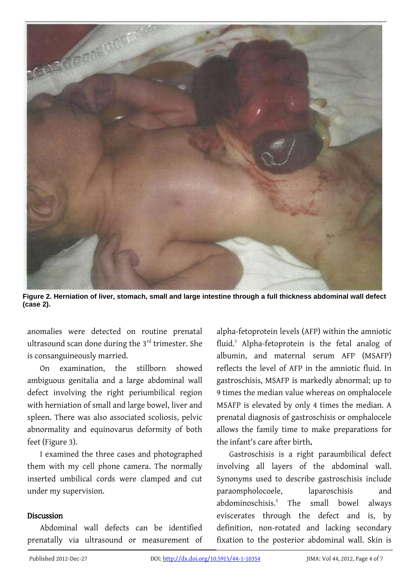

**Figure 2. Herniation of liver, stomach, small and large intestine through a full thickness abdominal wall defect (case 2).**

anomalies were detected on routine prenatal ultrasound scan done during the 3<sup>rd</sup> trimester. She is consanguineously married.

On examination, the stillborn showed ambiguous genitalia and a large abdominal wall defect involving the right periumbilical region with herniation of small and large bowel, liver and spleen. There was also associated scoliosis, pelvic abnormality and equinovarus deformity of both feet (Figure 3).

I examined the three cases and photographed them with my cell phone camera. The normally inserted umbilical cords were clamped and cut under my supervision.

## Discussion

Abdominal wall defects can be identified prenatally via ultrasound or measurement of alpha-fetoprotein levels (AFP) within the amniotic fluid.<sup>3</sup> Alpha-fetoprotein is the fetal analog of albumin, and maternal serum AFP (MSAFP) reflects the level of AFP in the amniotic fluid. In gastroschisis, MSAFP is markedly abnormal; up to 9 times the median value whereas on omphalocele MSAFP is elevated by only 4 times the median. A prenatal diagnosis of gastroschisis or omphalocele allows the family time to make preparations for the infant's care after birth.

Gastroschisis is a right paraumbilical defect involving all layers of the abdominal wall. Synonyms used to describe gastroschisis include paraompholocoele, laparoschisis and abdominoschisis.<sup>5</sup> The small bowel always eviscerates through the defect and is, by definition, non-rotated and lacking secondary fixation to the posterior abdominal wall. Skin is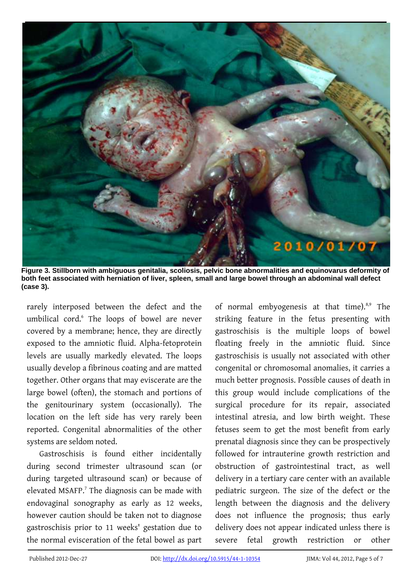

**Figure 3. Stillborn with ambiguous genitalia, scoliosis, pelvic bone abnormalities and equinovarus deformity of both feet associated with herniation of liver, spleen, small and large bowel through an abdominal wall defect (case 3).**

rarely interposed between the defect and the umbilical cord.<sup>6</sup> The loops of bowel are never covered by a membrane; hence, they are directly exposed to the amniotic fluid. Alpha-fetoprotein levels are usually markedly elevated. The loops usually develop a fibrinous coating and are matted together. Other organs that may eviscerate are the large bowel (often), the stomach and portions of the genitourinary system (occasionally). The location on the left side has very rarely been reported. Congenital abnormalities of the other systems are seldom noted.

Gastroschisis is found either incidentally during second trimester ultrasound scan (or during targeted ultrasound scan) or because of elevated MSAFP.<sup>7</sup> The diagnosis can be made with endovaginal sonography as early as 12 weeks, however caution should be taken not to diagnose gastroschisis prior to 11 weeks' gestation due to the normal evisceration of the fetal bowel as part

of normal embyogenesis at that time).<sup>8,9</sup> The striking feature in the fetus presenting with gastroschisis is the multiple loops of bowel floating freely in the amniotic fluid. Since gastroschisis is usually not associated with other congenital or chromosomal anomalies, it carries a much better prognosis. Possible causes of death in this group would include complications of the surgical procedure for its repair, associated intestinal atresia, and low birth weight. These fetuses seem to get the most benefit from early prenatal diagnosis since they can be prospectively followed for intrauterine growth restriction and obstruction of gastrointestinal tract, as well delivery in a tertiary care center with an available pediatric surgeon. The size of the defect or the length between the diagnosis and the delivery does not influence the prognosis; thus early delivery does not appear indicated unless there is severe fetal growth restriction or other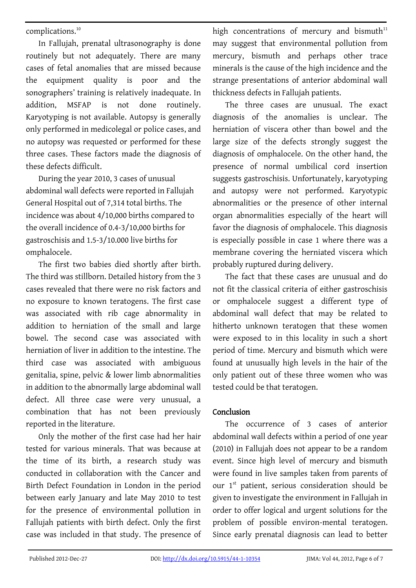complications.<sup>10</sup>

In Fallujah, prenatal ultrasonography is done routinely but not adequately. There are many cases of fetal anomalies that are missed because the equipment quality is poor and the sonographers' training is relatively inadequate. In addition, MSFAP is not done routinely. Karyotyping is not available. Autopsy is generally only performed in medicolegal or police cases, and no autopsy was requested or performed for these three cases. These factors made the diagnosis of these defects difficult.

During the year 2010, 3 cases of unusual abdominal wall defects were reported in Fallujah General Hospital out of 7,314 total births. The incidence was about 4/10,000 births compared to the overall incidence of 0.4-3/10,000 births for gastroschisis and 1.5-3/10.000 live births for omphalocele.

The first two babies died shortly after birth. The third was stillborn. Detailed history from the 3 cases revealed that there were no risk factors and no exposure to known teratogens. The first case was associated with rib cage abnormality in addition to herniation of the small and large bowel. The second case was associated with herniation of liver in addition to the intestine. The third case was associated with ambiguous genitalia, spine, pelvic & lower limb abnormalities in addition to the abnormally large abdominal wall defect. All three case were very unusual, a combination that has not been previously reported in the literature.

Only the mother of the first case had her hair tested for various minerals. That was because at the time of its birth, a research study was conducted in collaboration with the Cancer and Birth Defect Foundation in London in the period between early January and late May 2010 to test for the presence of environmental pollution in Fallujah patients with birth defect. Only the first case was included in that study. The presence of high concentrations of mercury and bismuth $11$ may suggest that environmental pollution from mercury, bismuth and perhaps other trace minerals is the cause of the high incidence and the strange presentations of anterior abdominal wall thickness defects in Fallujah patients.

The three cases are unusual. The exact diagnosis of the anomalies is unclear. The herniation of viscera other than bowel and the large size of the defects strongly suggest the diagnosis of omphalocele. On the other hand, the presence of normal umbilical cord insertion suggests gastroschisis. Unfortunately, karyotyping and autopsy were not performed. Karyotypic abnormalities or the presence of other internal organ abnormalities especially of the heart will favor the diagnosis of omphalocele. This diagnosis is especially possible in case 1 where there was a membrane covering the herniated viscera which probably ruptured during delivery.

The fact that these cases are unusual and do not fit the classical criteria of either gastroschisis or omphalocele suggest a different type of abdominal wall defect that may be related to hitherto unknown teratogen that these women were exposed to in this locality in such a short period of time. Mercury and bismuth which were found at unusually high levels in the hair of the only patient out of these three women who was tested could be that teratogen.

# Conclusion

The occurrence of 3 cases of anterior abdominal wall defects within a period of one year (2010) in Fallujah does not appear to be a random event. Since high level of mercury and bismuth were found in live samples taken from parents of our 1<sup>st</sup> patient, serious consideration should be given to investigate the environment in Fallujah in order to offer logical and urgent solutions for the problem of possible environ-mental teratogen. Since early prenatal diagnosis can lead to better